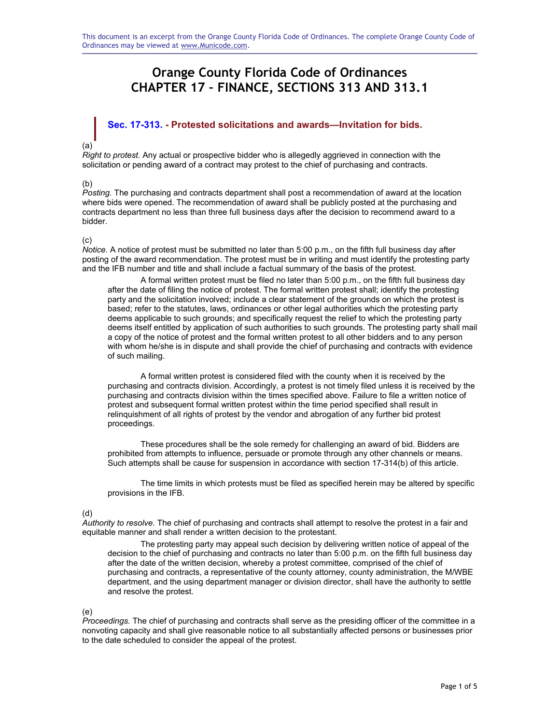# **Orange County Florida Code of Ordinances CHAPTER 17 – FINANCE, SECTIONS 313 AND 313.1**

# **Sec. 17-313. - Protested solicitations and awards—Invitation for bids.**

#### (a)

*Right to protest.* Any actual or prospective bidder who is allegedly aggrieved in connection with the solicitation or pending award of a contract may protest to the chief of purchasing and contracts.

#### (b)

*Posting.* The purchasing and contracts department shall post a recommendation of award at the location where bids were opened. The recommendation of award shall be publicly posted at the purchasing and contracts department no less than three full business days after the decision to recommend award to a bidder.

#### (c)

*Notice.* A notice of protest must be submitted no later than 5:00 p.m., on the fifth full business day after posting of the award recommendation. The protest must be in writing and must identify the protesting party and the IFB number and title and shall include a factual summary of the basis of the protest.

A formal written protest must be filed no later than 5:00 p.m., on the fifth full business day after the date of filing the notice of protest. The formal written protest shall; identify the protesting party and the solicitation involved; include a clear statement of the grounds on which the protest is based; refer to the statutes, laws, ordinances or other legal authorities which the protesting party deems applicable to such grounds; and specifically request the relief to which the protesting party deems itself entitled by application of such authorities to such grounds. The protesting party shall mail a copy of the notice of protest and the formal written protest to all other bidders and to any person with whom he/she is in dispute and shall provide the chief of purchasing and contracts with evidence of such mailing.

A formal written protest is considered filed with the county when it is received by the purchasing and contracts division. Accordingly, a protest is not timely filed unless it is received by the purchasing and contracts division within the times specified above. Failure to file a written notice of protest and subsequent formal written protest within the time period specified shall result in relinquishment of all rights of protest by the vendor and abrogation of any further bid protest proceedings.

These procedures shall be the sole remedy for challenging an award of bid. Bidders are prohibited from attempts to influence, persuade or promote through any other channels or means. Such attempts shall be cause for suspension in accordance with section 17-314(b) of this article.

The time limits in which protests must be filed as specified herein may be altered by specific provisions in the IFB.

#### (d)

*Authority to resolve.* The chief of purchasing and contracts shall attempt to resolve the protest in a fair and equitable manner and shall render a written decision to the protestant.

The protesting party may appeal such decision by delivering written notice of appeal of the decision to the chief of purchasing and contracts no later than 5:00 p.m. on the fifth full business day after the date of the written decision, whereby a protest committee, comprised of the chief of purchasing and contracts, a representative of the county attorney, county administration, the M/WBE department, and the using department manager or division director, shall have the authority to settle and resolve the protest.

#### (e)

*Proceedings.* The chief of purchasing and contracts shall serve as the presiding officer of the committee in a nonvoting capacity and shall give reasonable notice to all substantially affected persons or businesses prior to the date scheduled to consider the appeal of the protest.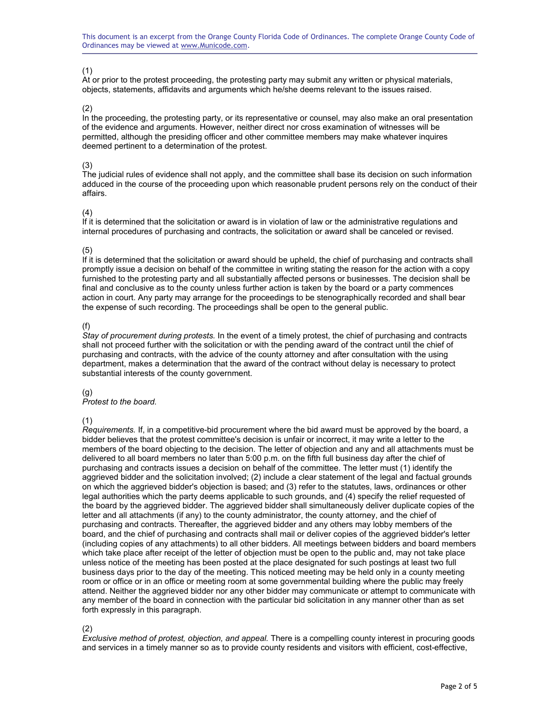This document is an excerpt from the Orange County Florida Code of Ordinances. The complete Orange County Code of Ordinances may be viewed at www.Municode.com.

#### (1)

At or prior to the protest proceeding, the protesting party may submit any written or physical materials, objects, statements, affidavits and arguments which he/she deems relevant to the issues raised.

#### (2)

In the proceeding, the protesting party, or its representative or counsel, may also make an oral presentation of the evidence and arguments. However, neither direct nor cross examination of witnesses will be permitted, although the presiding officer and other committee members may make whatever inquires deemed pertinent to a determination of the protest.

#### (3)

The judicial rules of evidence shall not apply, and the committee shall base its decision on such information adduced in the course of the proceeding upon which reasonable prudent persons rely on the conduct of their affairs.

#### (4)

If it is determined that the solicitation or award is in violation of law or the administrative regulations and internal procedures of purchasing and contracts, the solicitation or award shall be canceled or revised.

#### (5)

If it is determined that the solicitation or award should be upheld, the chief of purchasing and contracts shall promptly issue a decision on behalf of the committee in writing stating the reason for the action with a copy furnished to the protesting party and all substantially affected persons or businesses. The decision shall be final and conclusive as to the county unless further action is taken by the board or a party commences action in court. Any party may arrange for the proceedings to be stenographically recorded and shall bear the expense of such recording. The proceedings shall be open to the general public.

#### (f)

*Stay of procurement during protests.* In the event of a timely protest, the chief of purchasing and contracts shall not proceed further with the solicitation or with the pending award of the contract until the chief of purchasing and contracts, with the advice of the county attorney and after consultation with the using department, makes a determination that the award of the contract without delay is necessary to protect substantial interests of the county government.

#### (g)

*Protest to the board.*

#### (1)

*Requirements.* If, in a competitive-bid procurement where the bid award must be approved by the board, a bidder believes that the protest committee's decision is unfair or incorrect, it may write a letter to the members of the board objecting to the decision. The letter of objection and any and all attachments must be delivered to all board members no later than 5:00 p.m. on the fifth full business day after the chief of purchasing and contracts issues a decision on behalf of the committee. The letter must (1) identify the aggrieved bidder and the solicitation involved; (2) include a clear statement of the legal and factual grounds on which the aggrieved bidder's objection is based; and (3) refer to the statutes, laws, ordinances or other legal authorities which the party deems applicable to such grounds, and (4) specify the relief requested of the board by the aggrieved bidder. The aggrieved bidder shall simultaneously deliver duplicate copies of the letter and all attachments (if any) to the county administrator, the county attorney, and the chief of purchasing and contracts. Thereafter, the aggrieved bidder and any others may lobby members of the board, and the chief of purchasing and contracts shall mail or deliver copies of the aggrieved bidder's letter (including copies of any attachments) to all other bidders. All meetings between bidders and board members which take place after receipt of the letter of objection must be open to the public and, may not take place unless notice of the meeting has been posted at the place designated for such postings at least two full business days prior to the day of the meeting. This noticed meeting may be held only in a county meeting room or office or in an office or meeting room at some governmental building where the public may freely attend. Neither the aggrieved bidder nor any other bidder may communicate or attempt to communicate with any member of the board in connection with the particular bid solicitation in any manner other than as set forth expressly in this paragraph.

#### (2)  $(2)$

Exclusive method of protest, objection, and appeal. There is a compelling county interest in procuring goods and services in a timely manner so as to provide county residents and visitors with efficient, cost-effective,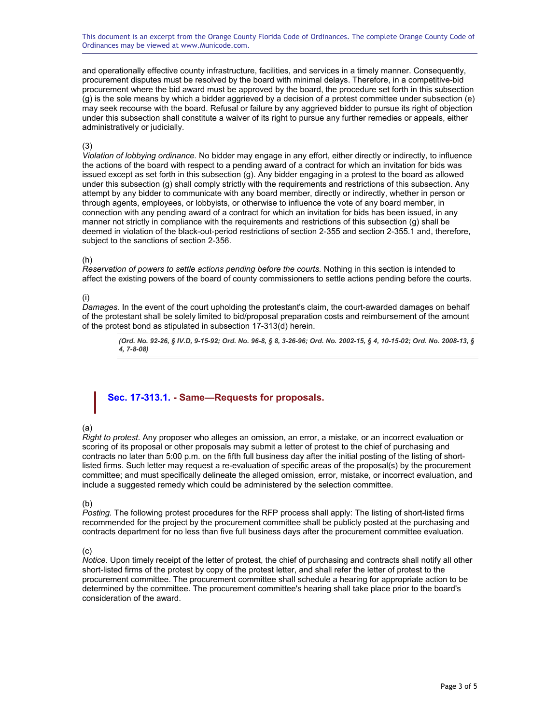This document is an excerpt from the Orange County Florida Code of Ordinances. The complete Orange County Code of Ordinances may be viewed at www.Municode.com.

and operationally effective county infrastructure, facilities, and services in a timely manner. Consequently, procurement disputes must be resolved by the board with minimal delays. Therefore, in a competitive-bid procurement where the bid award must be approved by the board, the procedure set forth in this subsection (g) is the sole means by which a bidder aggrieved by a decision of a protest committee under subsection (e) may seek recourse with the board. Refusal or failure by any aggrieved bidder to pursue its right of objection under this subsection shall constitute a waiver of its right to pursue any further remedies or appeals, either administratively or judicially.

#### (3)

*Violation of lobbying ordinance.* No bidder may engage in any effort, either directly or indirectly, to influence the actions of the board with respect to a pending award of a contract for which an invitation for bids was issued except as set forth in this subsection (g). Any bidder engaging in a protest to the board as allowed under this subsection (g) shall comply strictly with the requirements and restrictions of this subsection. Any attempt by any bidder to communicate with any board member, directly or indirectly, whether in person or through agents, employees, or lobbyists, or otherwise to influence the vote of any board member, in connection with any pending award of a contract for which an invitation for bids has been issued, in any manner not strictly in compliance with the requirements and restrictions of this subsection (g) shall be deemed in violation of the black-out-period restrictions of section 2-355 and section 2-355.1 and, therefore, subject to the sanctions of section 2-356.

#### (h)

*Reservation of powers to settle actions pending before the courts.* Nothing in this section is intended to affect the existing powers of the board of county commissioners to settle actions pending before the courts.

#### (i)

*Damages.* In the event of the court upholding the protestant's claim, the court-awarded damages on behalf of the protestant shall be solely limited to bid/proposal preparation costs and reimbursement of the amount of the protest bond as stipulated in subsection 17-313(d) herein.

*(Ord. No. 92-26, § IV.D, 9-15-92; Ord. No. 96-8, § 8, 3-26-96; Ord. No. 2002-15, § 4, 10-15-02; Ord. No. 2008-13, § 4, 7-8-08)* 

## **Sec. 17-313.1. - Same—Requests for proposals.**

#### (a)

*Right to protest.* Any proposer who alleges an omission, an error, a mistake, or an incorrect evaluation or scoring of its proposal or other proposals may submit a letter of protest to the chief of purchasing and contracts no later than 5:00 p.m. on the fifth full business day after the initial posting of the listing of shortlisted firms. Such letter may request a re-evaluation of specific areas of the proposal(s) by the procurement committee; and must specifically delineate the alleged omission, error, mistake, or incorrect evaluation, and include a suggested remedy which could be administered by the selection committee.

#### (b)

*Posting.* The following protest procedures for the RFP process shall apply: The listing of short-listed firms recommended for the project by the procurement committee shall be publicly posted at the purchasing and contracts department for no less than five full business days after the procurement committee evaluation.

#### (c)

*Notice.* Upon timely receipt of the letter of protest, the chief of purchasing and contracts shall notify all other short-listed firms of the protest by copy of the protest letter, and shall refer the letter of protest to the procurement committee. The procurement committee shall schedule a hearing for appropriate action to be determined by the committee. The procurement committee's hearing shall take place prior to the board's consideration of the award.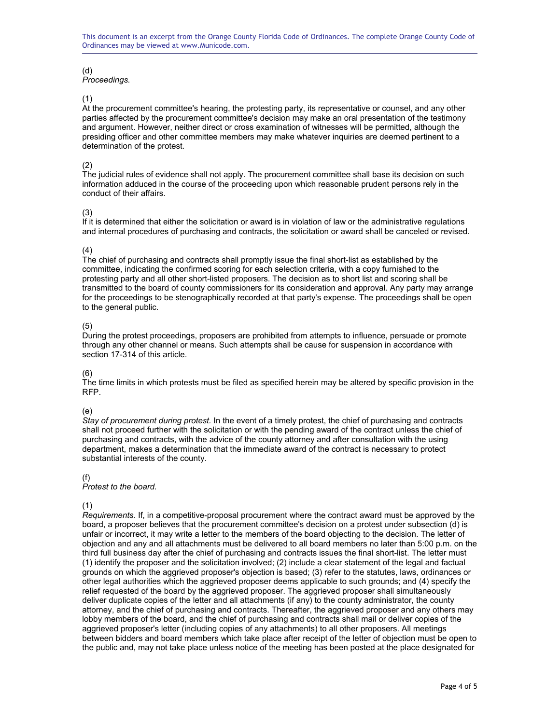This document is an excerpt from the Orange County Florida Code of Ordinances. The complete Orange County Code of Ordinances may be viewed at www.Municode.com.

# (d)

# *Proceedings.*

#### (1)

At the procurement committee's hearing, the protesting party, its representative or counsel, and any other parties affected by the procurement committee's decision may make an oral presentation of the testimony and argument. However, neither direct or cross examination of witnesses will be permitted, although the presiding officer and other committee members may make whatever inquiries are deemed pertinent to a determination of the protest.

### (2)

The judicial rules of evidence shall not apply. The procurement committee shall base its decision on such information adduced in the course of the proceeding upon which reasonable prudent persons rely in the conduct of their affairs.

### (3)

If it is determined that either the solicitation or award is in violation of law or the administrative regulations and internal procedures of purchasing and contracts, the solicitation or award shall be canceled or revised.

#### (4)

The chief of purchasing and contracts shall promptly issue the final short-list as established by the committee, indicating the confirmed scoring for each selection criteria, with a copy furnished to the protesting party and all other short-listed proposers. The decision as to short list and scoring shall be transmitted to the board of county commissioners for its consideration and approval. Any party may arrange for the proceedings to be stenographically recorded at that party's expense. The proceedings shall be open to the general public.

#### (5)

During the protest proceedings, proposers are prohibited from attempts to influence, persuade or promote through any other channel or means. Such attempts shall be cause for suspension in accordance with section 17-314 of this article.

#### (6)

The time limits in which protests must be filed as specified herein may be altered by specific provision in the RFP.

#### (e)

*Stay of procurement during protest.* In the event of a timely protest, the chief of purchasing and contracts shall not proceed further with the solicitation or with the pending award of the contract unless the chief of purchasing and contracts, with the advice of the county attorney and after consultation with the using department, makes a determination that the immediate award of the contract is necessary to protect substantial interests of the county.

### (f)

*Protest to the board.*

#### (1)  $(1)$

Requirements. If, in a competitive-proposal procurement where the contract award must be approved by the board, a proposer believes that the procurement committee's decision on a protest under subsection (d) is unfair or incorrect, it may write a letter to the members of the board objecting to the decision. The letter of objection and any and all attachments must be delivered to all board members no later than 5:00 p.m. on the third full business day after the chief of purchasing and contracts issues the final short-list. The letter must (1) identify the proposer and the solicitation involved; (2) include a clear statement of the legal and factual grounds on which the aggrieved proposer's objection is based; (3) refer to the statutes, laws, ordinances or other legal authorities which the aggrieved proposer deems applicable to such grounds; and (4) specify the relief requested of the board by the aggrieved proposer. The aggrieved proposer shall simultaneously relief requested of the board by the aggrieved proposer. The aggrieved proposer shall simultaneously deliver duplicate copies of the letter and all attachments (if any) to the county administrator, the county attorney, and the chief of purchasing and contracts. Thereafter, the aggrieved proposer and any others may lobby members of the board, and the chief of purchasing and contracts shall mail or deliver copies of the aggrieved proposer's letter (including copies of any attachments) to all other proposers. All meetings between bidders and board members which take place after receipt of the letter of objection must be open to the public and, may not take place unless notice of the meeting has been posted at the place designated for  $\mathbf{r}$  in a county may be held only in a county meeting room or office or  $\mathbf{r}$